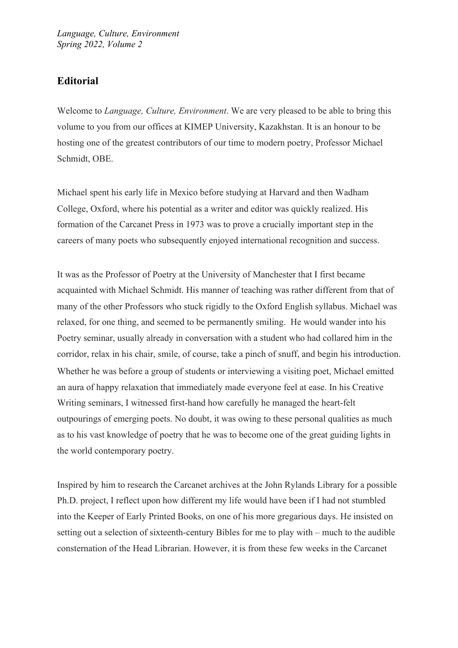## **Editorial**

Welcome to *Language, Culture, Environment*. We are very pleased to be able to bring this volume to you from our offices at KIMEP University, Kazakhstan. It is an honour to be hosting one of the greatest contributors of our time to modern poetry, Professor Michael Schmidt, OBE.

Michael spent his early life in Mexico before studying at Harvard and then Wadham College, Oxford, where his potential as a writer and editor was quickly realized. His formation of the Carcanet Press in 1973 was to prove a crucially important step in the careers of many poets who subsequently enjoyed international recognition and success.

It was as the Professor of Poetry at the University of Manchester that I first became acquainted with Michael Schmidt. His manner of teaching was rather different from that of many of the other Professors who stuck rigidly to the Oxford English syllabus. Michael was relaxed, for one thing, and seemed to be permanently smiling. He would wander into his Poetry seminar, usually already in conversation with a student who had collared him in the corridor, relax in his chair, smile, of course, take a pinch of snuff, and begin his introduction. Whether he was before a group of students or interviewing a visiting poet, Michael emitted an aura of happy relaxation that immediately made everyone feel at ease. In his Creative Writing seminars, I witnessed first-hand how carefully he managed the heart-felt outpourings of emerging poets. No doubt, it was owing to these personal qualities as much as to his vast knowledge of poetry that he was to become one of the great guiding lights in the world contemporary poetry.

Inspired by him to research the Carcanet archives at the John Rylands Library for a possible Ph.D. project, I reflect upon how different my life would have been if I had not stumbled into the Keeper of Early Printed Books, on one of his more gregarious days. He insisted on setting out a selection of sixteenth-century Bibles for me to play with – much to the audible consternation of the Head Librarian. However, it is from these few weeks in the Carcanet